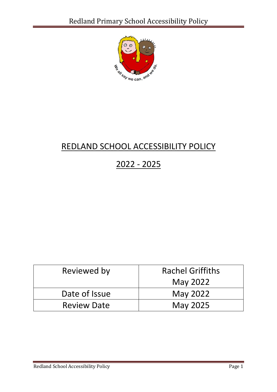

# REDLAND SCHOOL ACCESSIBILITY POLICY

# 2022 - 2025

| Reviewed by        | <b>Rachel Griffiths</b> |
|--------------------|-------------------------|
|                    | May 2022                |
| Date of Issue      | May 2022                |
| <b>Review Date</b> | <b>May 2025</b>         |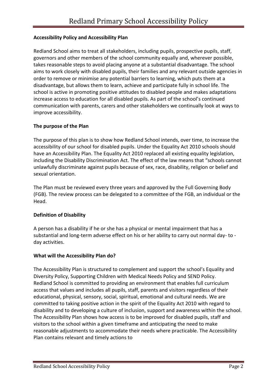## **Accessibility Policy and Accessibility Plan**

Redland School aims to treat all stakeholders, including pupils, prospective pupils, staff, governors and other members of the school community equally and, wherever possible, takes reasonable steps to avoid placing anyone at a substantial disadvantage. The school aims to work closely with disabled pupils, their families and any relevant outside agencies in order to remove or minimise any potential barriers to learning, which puts them at a disadvantage, but allows them to learn, achieve and participate fully in school life. The school is active in promoting positive attitudes to disabled people and makes adaptations increase access to education for all disabled pupils. As part of the school's continued communication with parents, carers and other stakeholders we continually look at ways to improve accessibility.

## **The purpose of the Plan**

The purpose of this plan is to show how Redland School intends, over time, to increase the accessibility of our school for disabled pupils. Under the Equality Act 2010 schools should have an Accessibility Plan. The Equality Act 2010 replaced all existing equality legislation, including the Disability Discrimination Act. The effect of the law means that "schools cannot unlawfully discriminate against pupils because of sex, race, disability, religion or belief and sexual orientation.

The Plan must be reviewed every three years and approved by the Full Governing Body (FGB). The review process can be delegated to a committee of the FGB, an individual or the Head.

#### **Definition of Disability**

A person has a disability if he or she has a physical or mental impairment that has a substantial and long-term adverse effect on his or her ability to carry out normal day- to day activities.

#### **What will the Accessibility Plan do?**

The Accessibility Plan is structured to complement and support the school's Equality and Diversity Policy, Supporting Children with Medical Needs Policy and SEND Policy. Redland School is committed to providing an environment that enables full curriculum access that values and includes all pupils, staff, parents and visitors regardless of their educational, physical, sensory, social, spiritual, emotional and cultural needs. We are committed to taking positive action in the spirit of the Equality Act 2010 with regard to disability and to developing a culture of inclusion, support and awareness within the school. The Accessibility Plan shows how access is to be improved for disabled pupils, staff and visitors to the school within a given timeframe and anticipating the need to make reasonable adjustments to accommodate their needs where practicable. The Accessibility Plan contains relevant and timely actions to